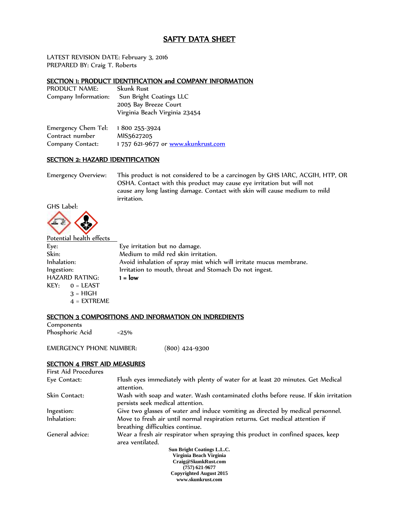# SAFTY DATA SHEET

LATEST REVISION DATE: February 3, 2016 PREPARED BY: Craig T. Roberts

## SECTION 1: PRODUCT IDENTIFICATION and COMPANY INFORMATION

| PRODUCT NAME:        | <b>Skunk Rust</b>             |
|----------------------|-------------------------------|
| Company Information: | Sun Bright Coatings LLC       |
|                      | 2005 Bay Breeze Court         |
|                      | Virginia Beach Virginia 23454 |
|                      |                               |

| Emergency Chem Tel: 1800 255-3924 |                                    |
|-----------------------------------|------------------------------------|
| Contract number                   | MIS5627205                         |
| Company Contact:                  | 1757 621-9677 or www.skunkrust.com |

### SECTION 2: HAZARD IDENTIFICATION

Emergency Overview: This product is not considered to be a carcinogen by GHS IARC, ACGIH, HTP, OR OSHA. Contact with this product may cause eye irritation but will not cause any long lasting damage. Contact with skin will cause medium to mild irritation.



| Potential health effects |                                                                    |
|--------------------------|--------------------------------------------------------------------|
| Eye:                     | Eye irritation but no damage.                                      |
| Skin:                    | Medium to mild red skin irritation.                                |
| Inhalation:              | Avoid inhalation of spray mist which will irritate mucus membrane. |
| Ingestion:               | Irritation to mouth, throat and Stomach Do not ingest.             |
| <b>HAZARD RATING:</b>    | $1 = low$                                                          |
| $KEY: 0 = LEAST$         |                                                                    |
| $3 = HIGH$               |                                                                    |
| $4 = EXTREME$            |                                                                    |

## SECTION 3 COMPOSITIONS AND INFORMATION ON INDREDIENTS

Components Phosphoric Acid <25%

EMERGENCY PHONE NUMBER: (800) 424-9300

#### SECTION 4 FIRST AID MEASURES

| First Aid Procedures |                                                                                                                         |
|----------------------|-------------------------------------------------------------------------------------------------------------------------|
| Eye Contact:         | Flush eyes immediately with plenty of water for at least 20 minutes. Get Medical<br>attention.                          |
| Skin Contact:        | Wash with soap and water. Wash contaminated cloths before reuse. If skin irritation<br>persists seek medical attention. |
| Ingestion:           | Give two glasses of water and induce vomiting as directed by medical personnel.                                         |
| Inhalation:          | Move to fresh air until normal respiration returns. Get medical attention if<br>breathing difficulties continue.        |
| General advice:      | Wear a fresh air respirator when spraying this product in confined spaces, keep<br>area ventilated.                     |
|                      | Sun Bright Coatings L.L.C.                                                                                              |
|                      | Virginia Beach Virginia                                                                                                 |
|                      | Craig@SkunkRust.com                                                                                                     |
|                      | $(757)$ 621-9677                                                                                                        |
|                      | <b>Copyrighted August 2015</b>                                                                                          |
|                      | www.skunkrust.com                                                                                                       |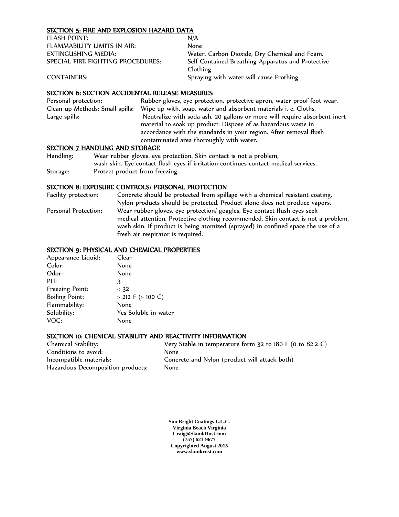### SECTION 5: FIRE AND EXPLOSION HAZARD DATA

| FLASH POINT:                      | N/A                                               |
|-----------------------------------|---------------------------------------------------|
| FLAMMABILITY LIMITS IN AIR:       | None                                              |
| EXTINGUSHING MEDIA:               | Water, Carbon Dioxide, Dry Chemical and Foam.     |
| SPECIAL FIRE FIGHTING PROCEDURES: | Self-Contained Breathing Apparatus and Protective |
|                                   | Clothing.                                         |
| <b>CONTAINERS:</b>                | Spraying with water will cause Frothing.          |

## SECTION 6: SECTION ACCIDENTAL RELEASE MEASURES

| Personal protection:            | Rubber gloves, eye protection, protective apron, water proof foot wear.   |
|---------------------------------|---------------------------------------------------------------------------|
| Clean up Methods: Small spills: | Wipe up with, soap, water and absorbent materials i. e. Cloths.           |
| Large spills:                   | Neutralize with soda ash. 20 gallons or more will require absorbent inert |
|                                 | material to soak up product. Dispose of as hazardous waste in             |
|                                 | accordance with the standards in your region. After removal flush         |
|                                 | contaminated area thoroughly with water.                                  |
|                                 |                                                                           |

### SECTION 7 HANDLING AND STORAGE

Handling: Wear rubber gloves, eye protection. Skin contact is not a problem, wash skin. Eye contact flush eyes if irritation continues contact medical services. Storage: Protect product from freezing.

## SECTION 8: EXPOSURE CONTROLS/ PERSONAL PROTECTION

Facility protection: Concrete should be protected from spillage with a chemical resistant coating. Nylon products should be protected. Product alone does not produce vapors. Personal Protection: Wear rubber gloves, eye protection/ goggles. Eye contact flush eyes seek medical attention. Protective clothing recommended. Skin contact is not a problem, wash skin. If product is being atomized (sprayed) in confined space the use of a fresh air respirator is required.

#### SECTION 9: PHYSICAL AND CHEMICAL PROPERTIES

| Appearance Liquid:    | Clear                  |
|-----------------------|------------------------|
| Color:                | None                   |
| Odor:                 | None                   |
| PH:                   | З                      |
| Freezing Point:       | < 32                   |
| <b>Boiling Point:</b> | $>$ 212 F ( $>$ 100 C) |
| Flammability:         | None                   |
| Solubility:           | Yes Soluble in water   |
| VOC:                  | None                   |

#### SECTION 10: CHENICAL STABILITY AND REACTIVITY INFORMATION

| Chemical Stability:               | Very Stable in temperature form 32 to 180 F (0 to 82.2 C) |
|-----------------------------------|-----------------------------------------------------------|
| Conditions to avoid:              | <b>None</b>                                               |
| Incompatible materials:           | Concrete and Nylon (product will attack both)             |
| Hazardous Decomposition products: | <b>None</b>                                               |

**Sun Bright Coatings L.L.C. Virginia Beach Virginia Craig@SkunkRust.com (757) 621-9677 Copyrighted August 2015 www.skunkrust.com**